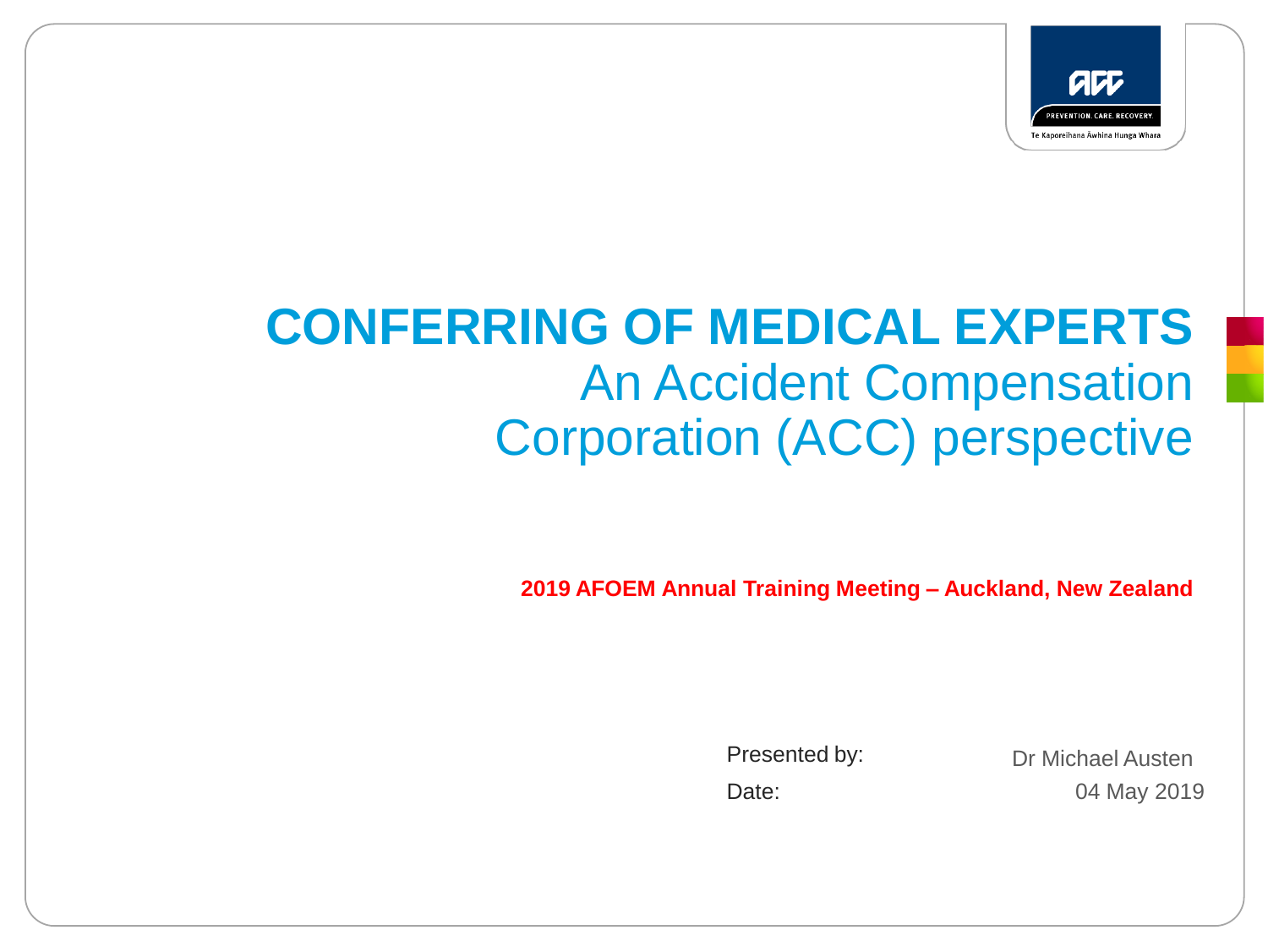

# **CONFERRING OF MEDICAL EXPERTS** An Accident Compensation Corporation (ACC) perspective

**2019 AFOEM Annual Training Meeting – Auckland, New Zealand**

Presented by: Date:

04 May 2019 Dr Michael Austen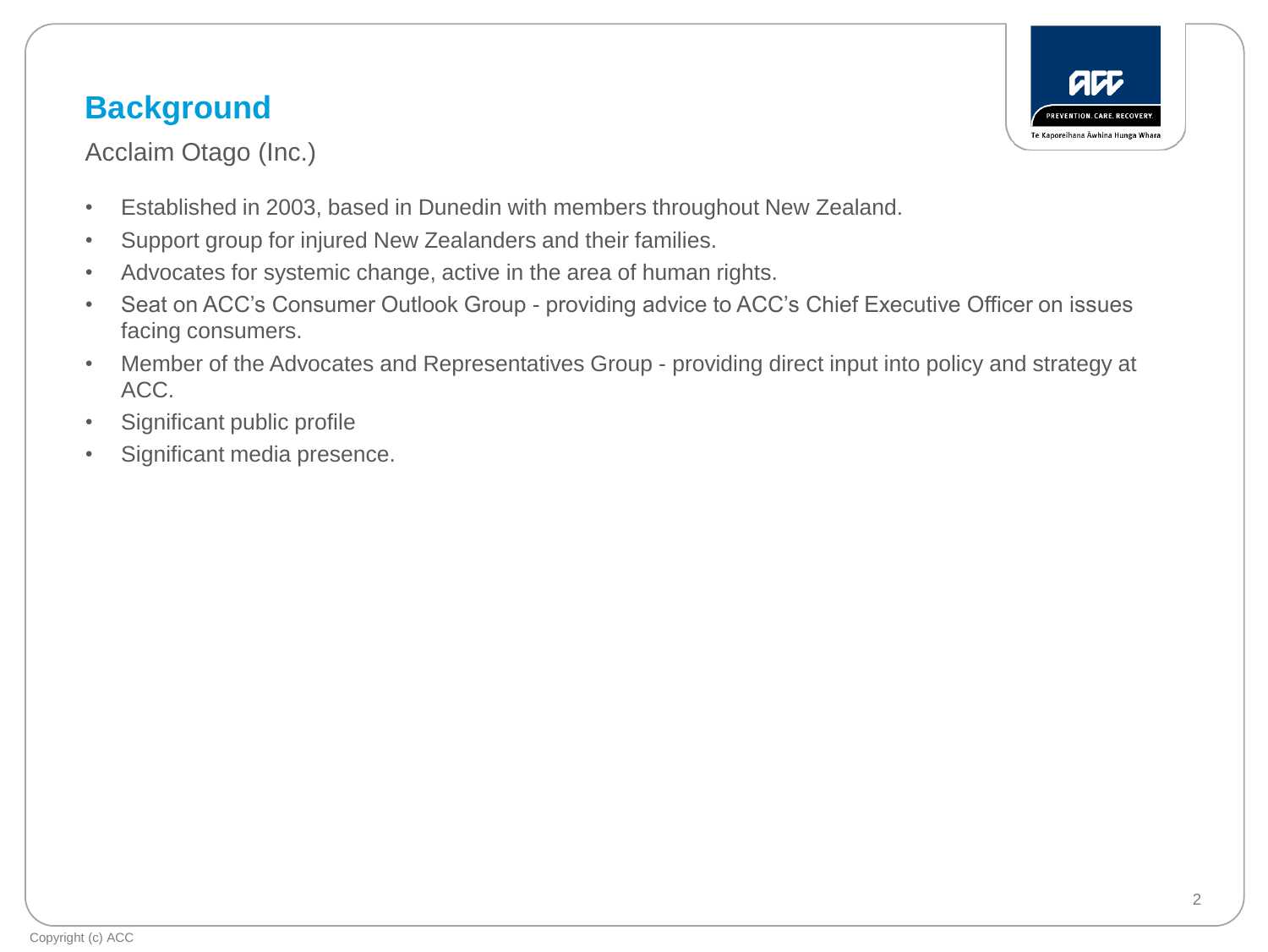### **Background**

**REVENTION CARE RECOVER** Te Kaporeihana Āwhina Hunga Whara

Acclaim Otago (Inc.)

- Established in 2003, based in Dunedin with members throughout New Zealand.
- Support group for injured New Zealanders and their families.
- Advocates for systemic change, active in the area of human rights.
- Seat on ACC's Consumer Outlook Group providing advice to ACC's Chief Executive Officer on issues facing consumers.
- Member of the Advocates and Representatives Group providing direct input into policy and strategy at ACC.
- Significant public profile
- Significant media presence.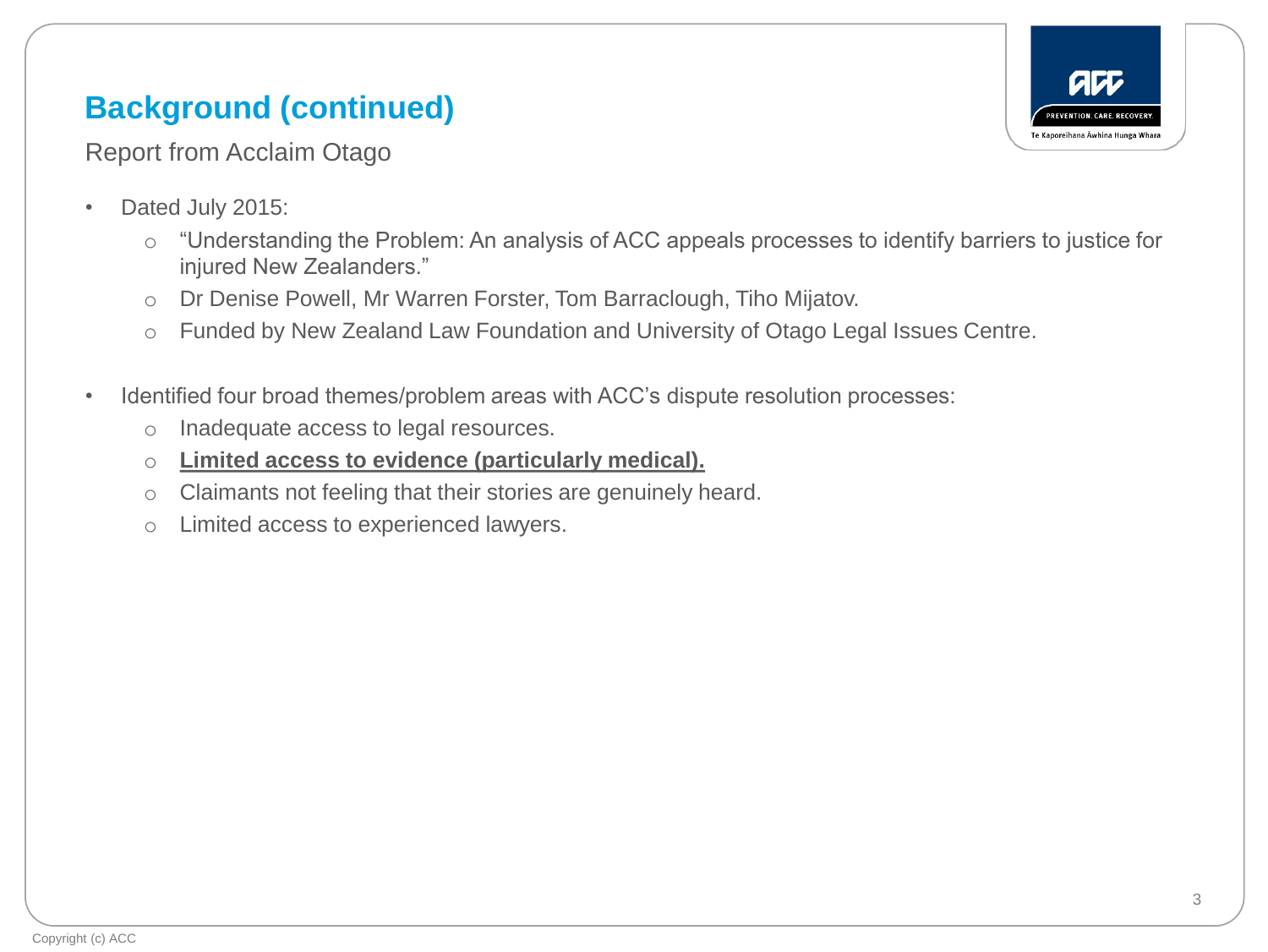### **Background (continued)**



Report from Acclaim Otago

- Dated July 2015:
	- o "Understanding the Problem: An analysis of ACC appeals processes to identify barriers to justice for injured New Zealanders."
	- o Dr Denise Powell, Mr Warren Forster, Tom Barraclough, Tiho Mijatov.
	- o Funded by New Zealand Law Foundation and University of Otago Legal Issues Centre.
- Identified four broad themes/problem areas with ACC's dispute resolution processes:
	- o Inadequate access to legal resources.
	- o **Limited access to evidence (particularly medical).**
	- o Claimants not feeling that their stories are genuinely heard.
	- o Limited access to experienced lawyers.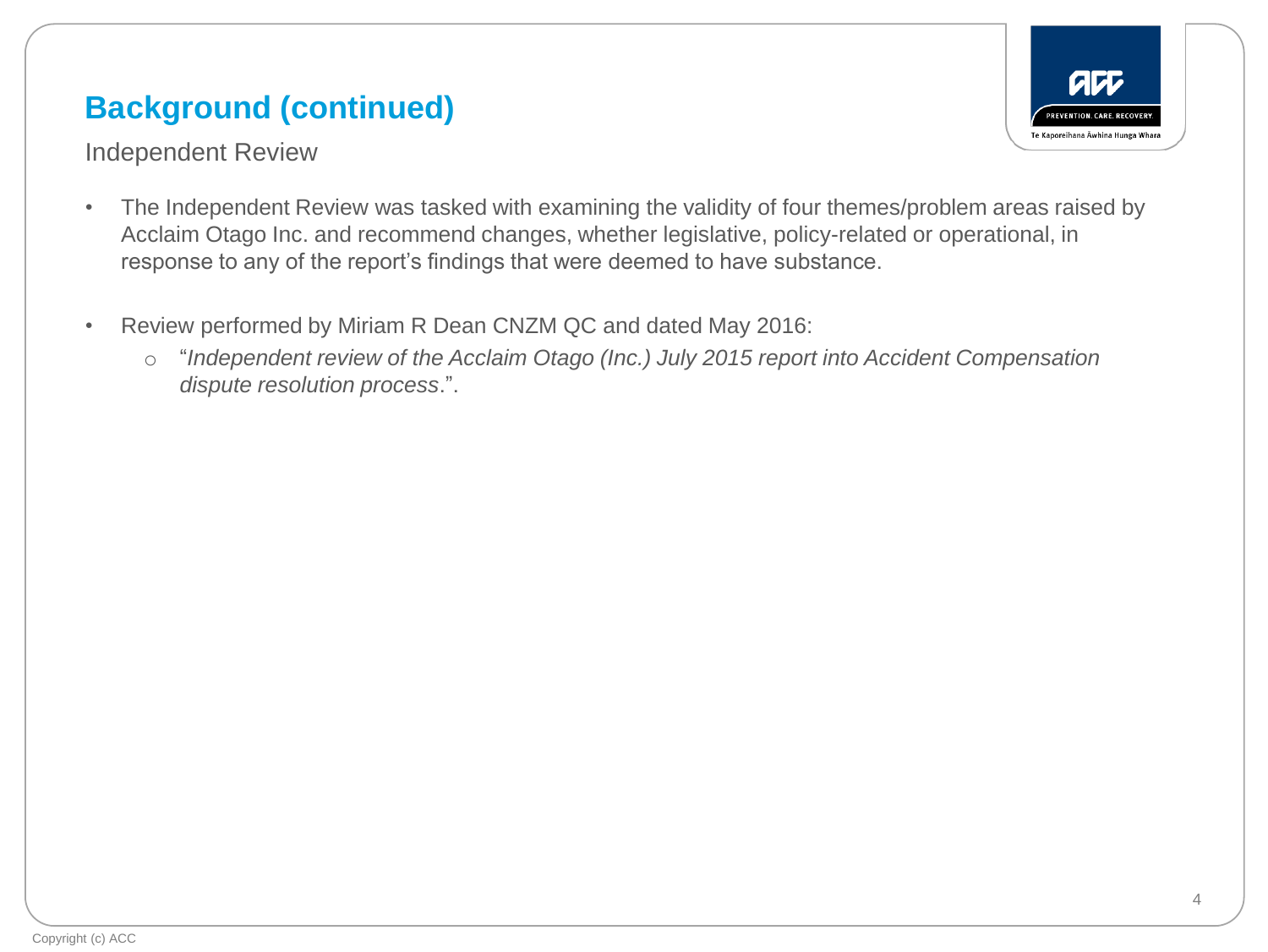### **Background (continued)**



Independent Review

- The Independent Review was tasked with examining the validity of four themes/problem areas raised by Acclaim Otago Inc. and recommend changes, whether legislative, policy-related or operational, in response to any of the report's findings that were deemed to have substance.
- Review performed by Miriam R Dean CNZM QC and dated May 2016:
	- o "*Independent review of the Acclaim Otago (Inc.) July 2015 report into Accident Compensation dispute resolution process*.".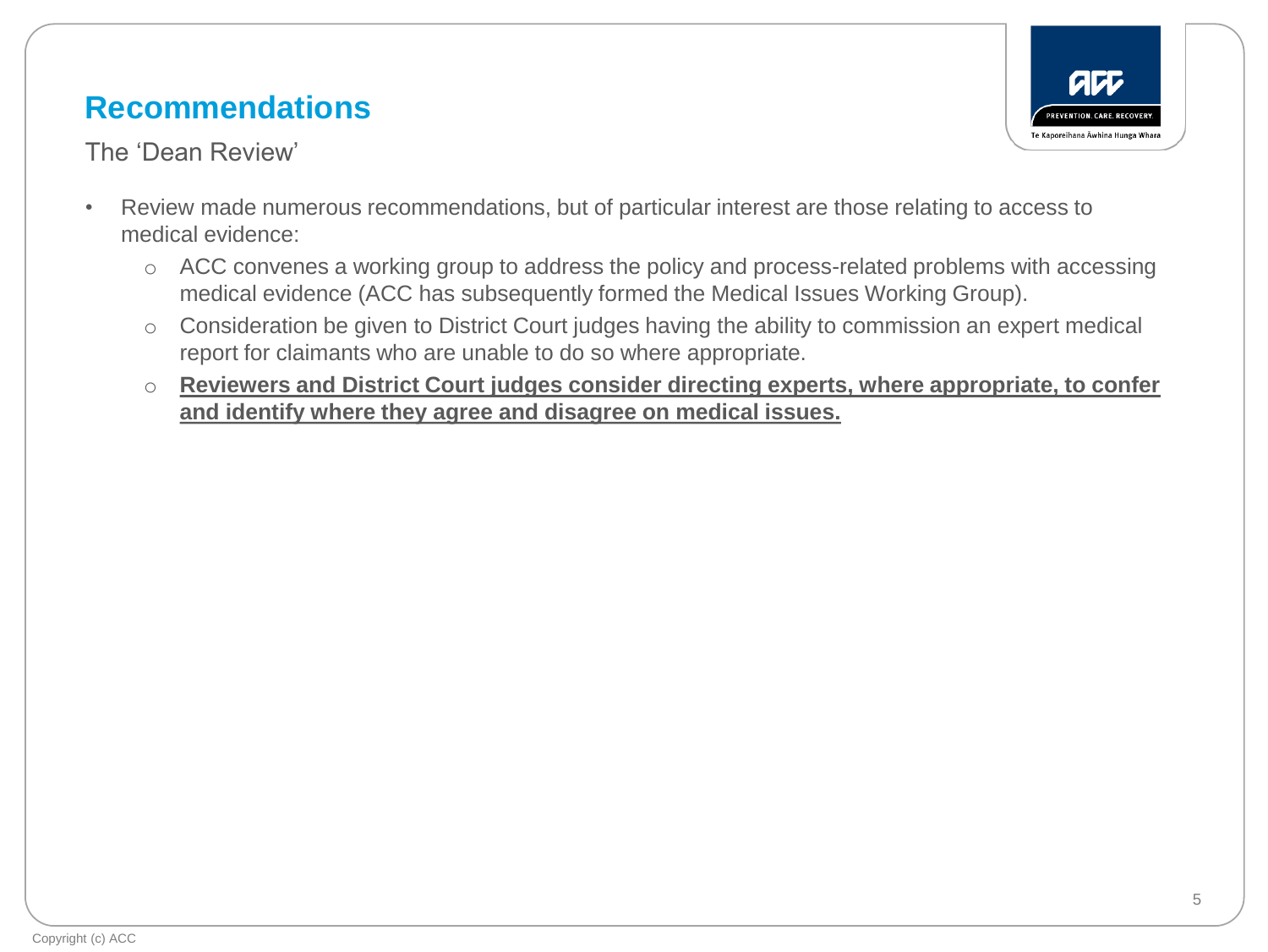### **Recommendations**





- Review made numerous recommendations, but of particular interest are those relating to access to medical evidence:
	- o ACC convenes a working group to address the policy and process-related problems with accessing medical evidence (ACC has subsequently formed the Medical Issues Working Group).
	- o Consideration be given to District Court judges having the ability to commission an expert medical report for claimants who are unable to do so where appropriate.
	- o **Reviewers and District Court judges consider directing experts, where appropriate, to confer and identify where they agree and disagree on medical issues.**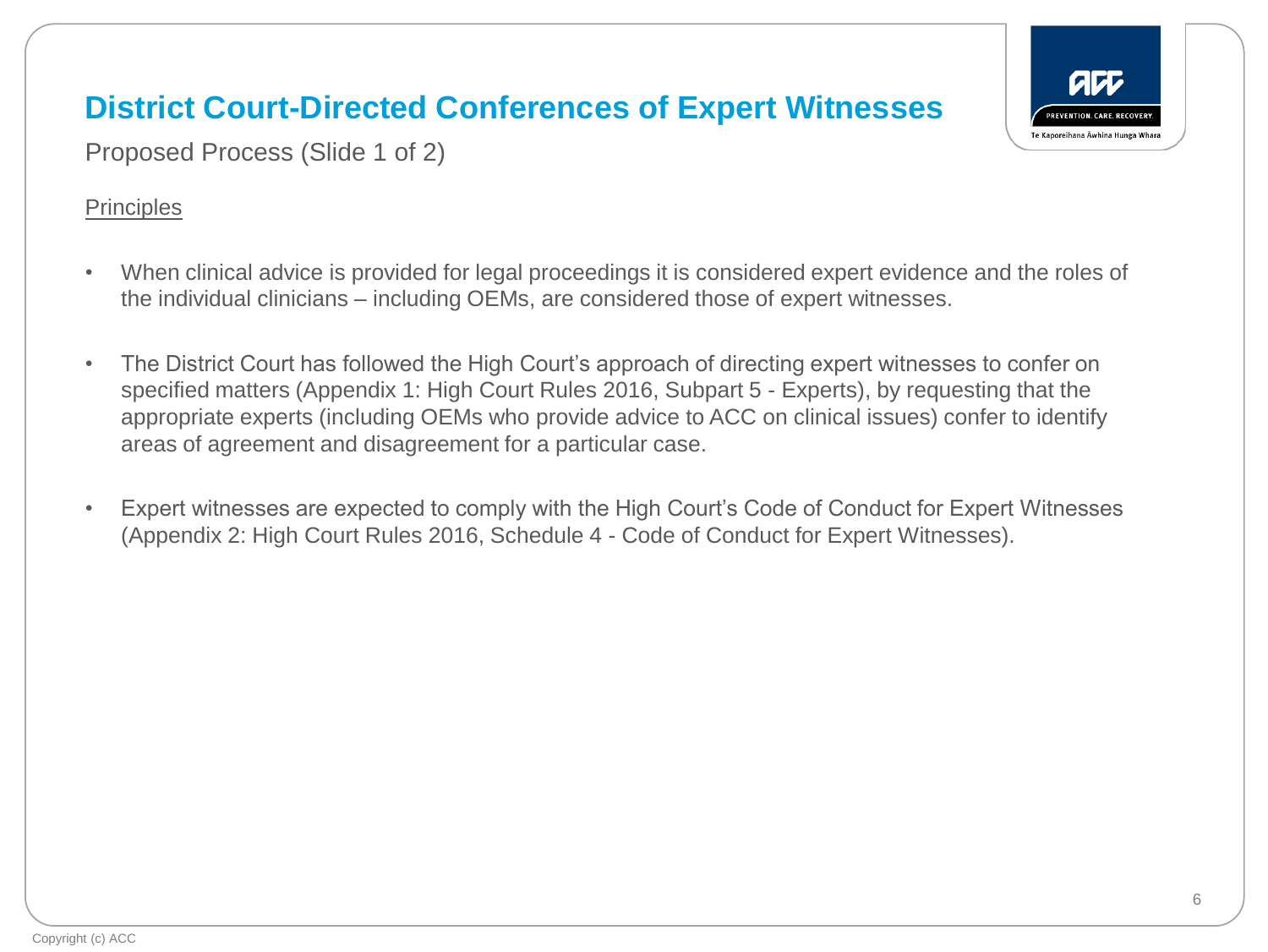Proposed Process (Slide 1 of 2)

#### **Principles**

- When clinical advice is provided for legal proceedings it is considered expert evidence and the roles of the individual clinicians – including OEMs, are considered those of expert witnesses.
- The District Court has followed the High Court's approach of directing expert witnesses to confer on specified matters (Appendix 1: High Court Rules 2016, Subpart 5 - Experts), by requesting that the appropriate experts (including OEMs who provide advice to ACC on clinical issues) confer to identify areas of agreement and disagreement for a particular case.
- Expert witnesses are expected to comply with the High Court's Code of Conduct for Expert Witnesses (Appendix 2: High Court Rules 2016, Schedule 4 - Code of Conduct for Expert Witnesses).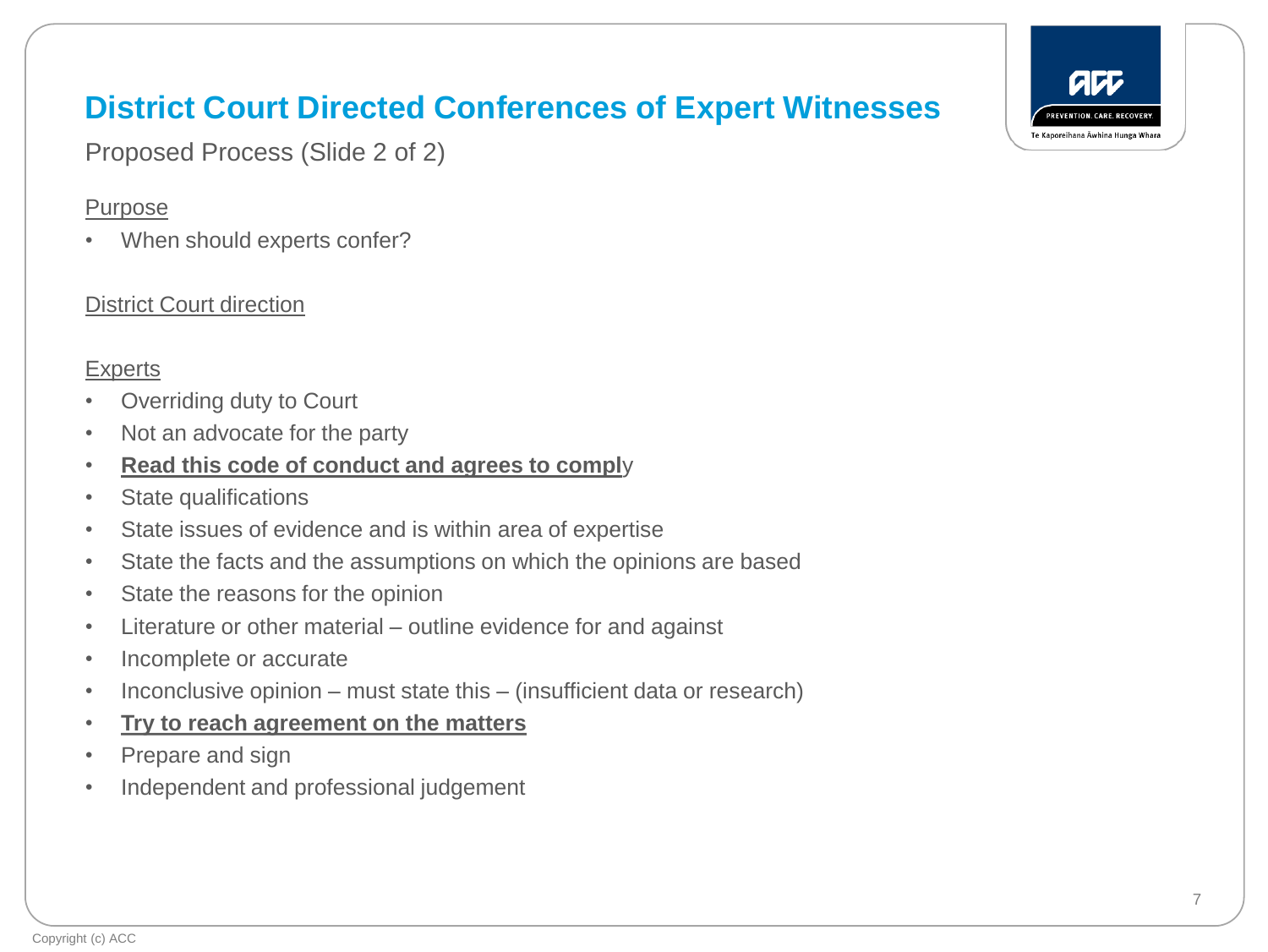Proposed Process (Slide 2 of 2)

#### Purpose

• When should experts confer?

#### District Court direction

### **Experts**

- Overriding duty to Court
- Not an advocate for the party
- **Read this code of conduct and agrees to compl**y
- State qualifications
- State issues of evidence and is within area of expertise
- State the facts and the assumptions on which the opinions are based
- State the reasons for the opinion
- Literature or other material outline evidence for and against
- Incomplete or accurate
- Inconclusive opinion must state this (insufficient data or research)
- **Try to reach agreement on the matters**
- Prepare and sign
- Independent and professional judgement

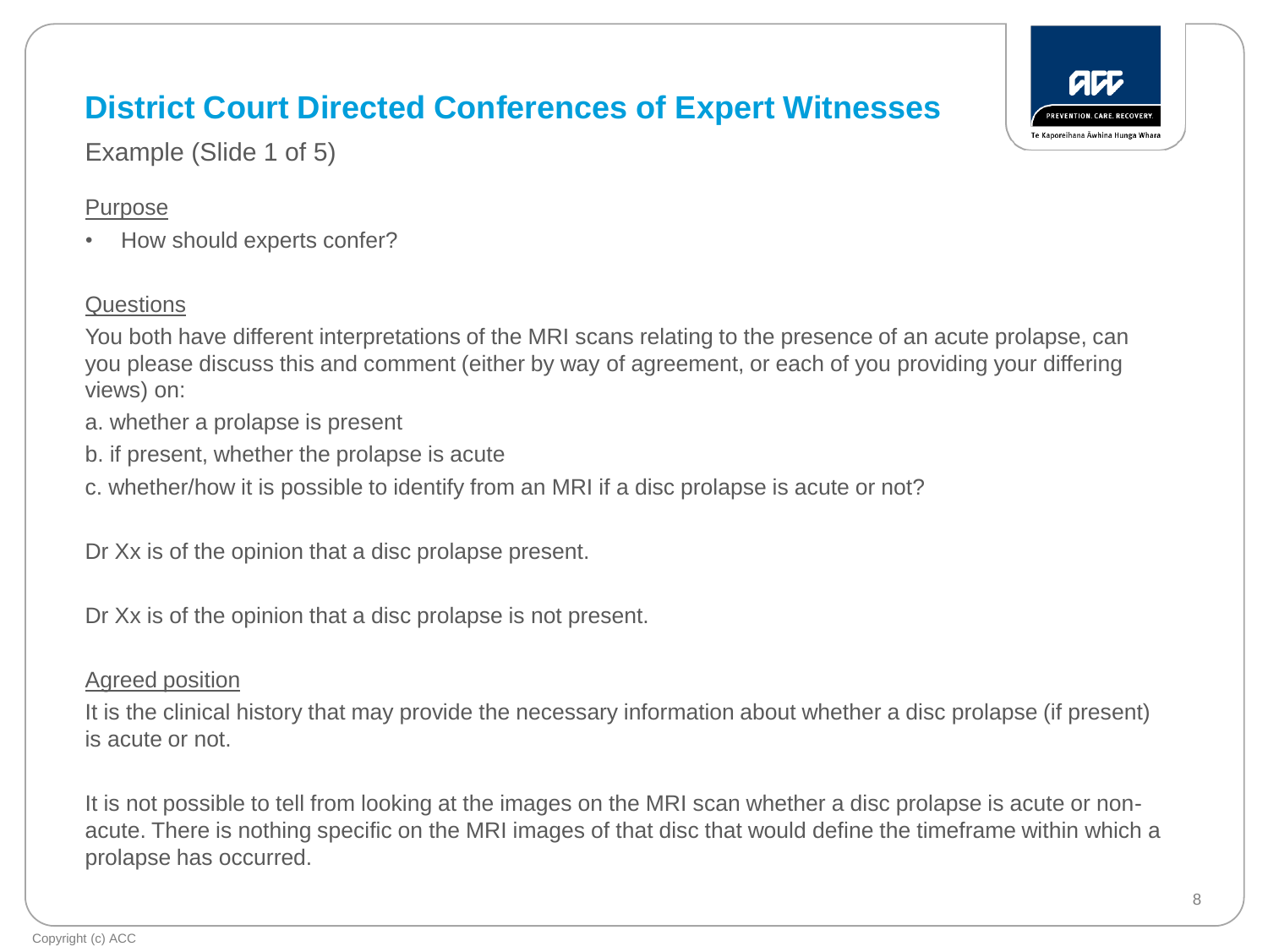

Example (Slide 1 of 5)

#### Purpose

• How should experts confer?

### **Questions**

You both have different interpretations of the MRI scans relating to the presence of an acute prolapse, can you please discuss this and comment (either by way of agreement, or each of you providing your differing views) on:

- a. whether a prolapse is present
- b. if present, whether the prolapse is acute
- c. whether/how it is possible to identify from an MRI if a disc prolapse is acute or not?

Dr Xx is of the opinion that a disc prolapse present.

Dr Xx is of the opinion that a disc prolapse is not present.

#### Agreed position

It is the clinical history that may provide the necessary information about whether a disc prolapse (if present) is acute or not.

It is not possible to tell from looking at the images on the MRI scan whether a disc prolapse is acute or nonacute. There is nothing specific on the MRI images of that disc that would define the timeframe within which a prolapse has occurred.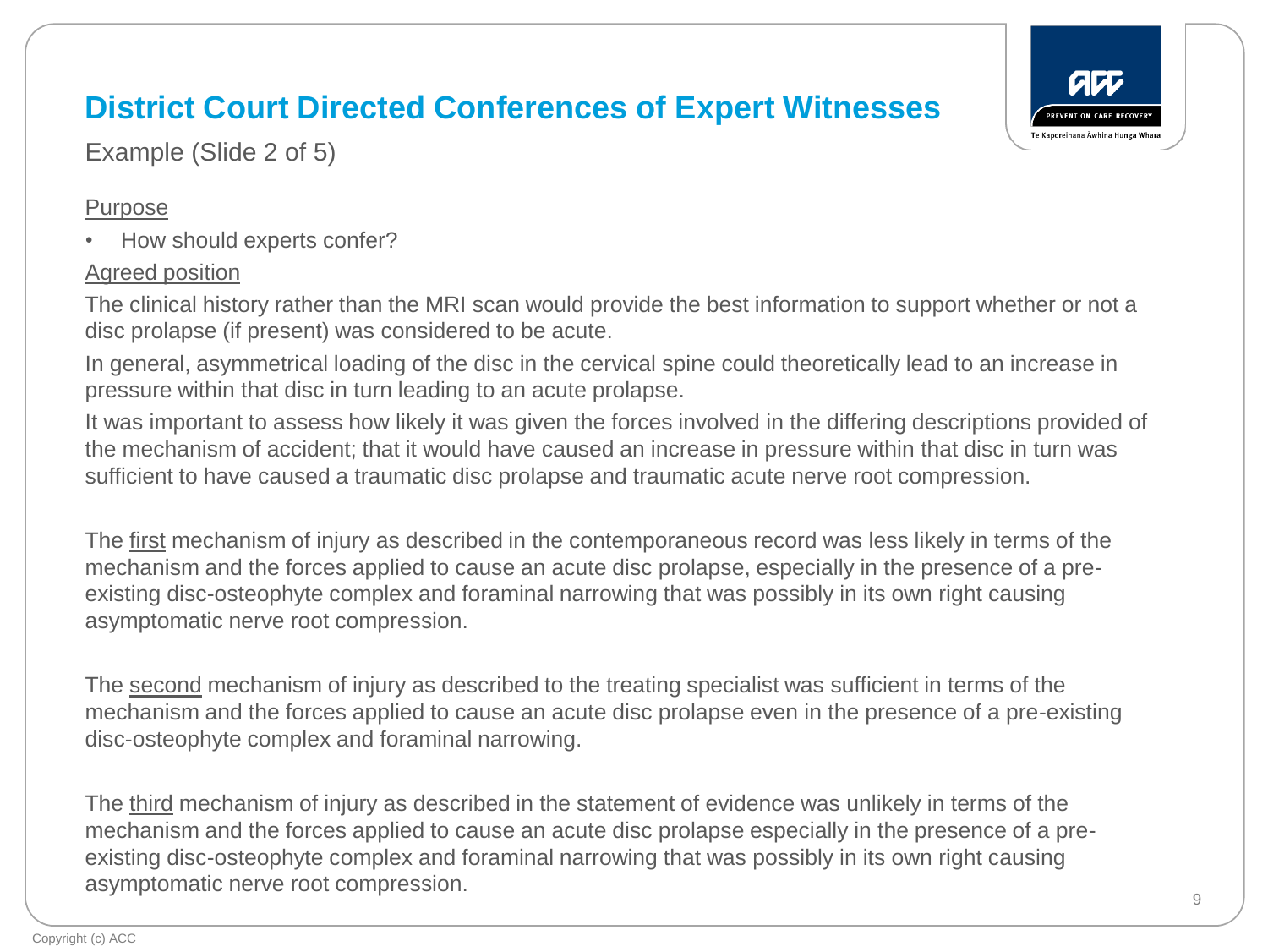Example (Slide 2 of 5)

### Purpose

• How should experts confer?

### Agreed position

The clinical history rather than the MRI scan would provide the best information to support whether or not a disc prolapse (if present) was considered to be acute.

In general, asymmetrical loading of the disc in the cervical spine could theoretically lead to an increase in pressure within that disc in turn leading to an acute prolapse.

It was important to assess how likely it was given the forces involved in the differing descriptions provided of the mechanism of accident; that it would have caused an increase in pressure within that disc in turn was sufficient to have caused a traumatic disc prolapse and traumatic acute nerve root compression.

The first mechanism of injury as described in the contemporaneous record was less likely in terms of the mechanism and the forces applied to cause an acute disc prolapse, especially in the presence of a preexisting disc-osteophyte complex and foraminal narrowing that was possibly in its own right causing asymptomatic nerve root compression.

The second mechanism of injury as described to the treating specialist was sufficient in terms of the mechanism and the forces applied to cause an acute disc prolapse even in the presence of a pre-existing disc-osteophyte complex and foraminal narrowing.

The third mechanism of injury as described in the statement of evidence was unlikely in terms of the mechanism and the forces applied to cause an acute disc prolapse especially in the presence of a preexisting disc-osteophyte complex and foraminal narrowing that was possibly in its own right causing asymptomatic nerve root compression.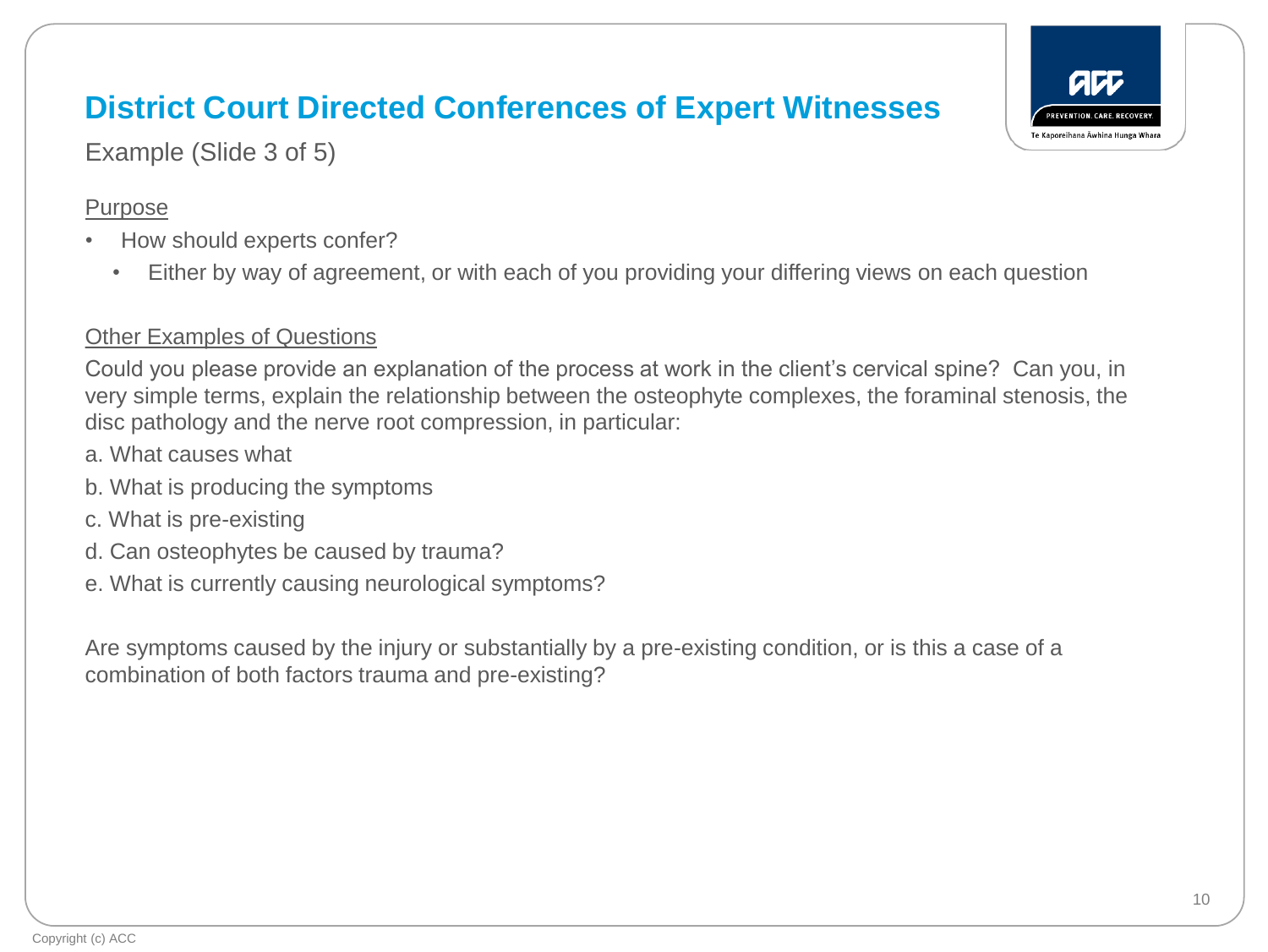Example (Slide 3 of 5)

#### Purpose

- How should experts confer?
	- Either by way of agreement, or with each of you providing your differing views on each question

### Other Examples of Questions

Could you please provide an explanation of the process at work in the client's cervical spine? Can you, in very simple terms, explain the relationship between the osteophyte complexes, the foraminal stenosis, the disc pathology and the nerve root compression, in particular:

- a. What causes what
- b. What is producing the symptoms
- c. What is pre-existing
- d. Can osteophytes be caused by trauma?
- e. What is currently causing neurological symptoms?

Are symptoms caused by the injury or substantially by a pre-existing condition, or is this a case of a combination of both factors trauma and pre-existing?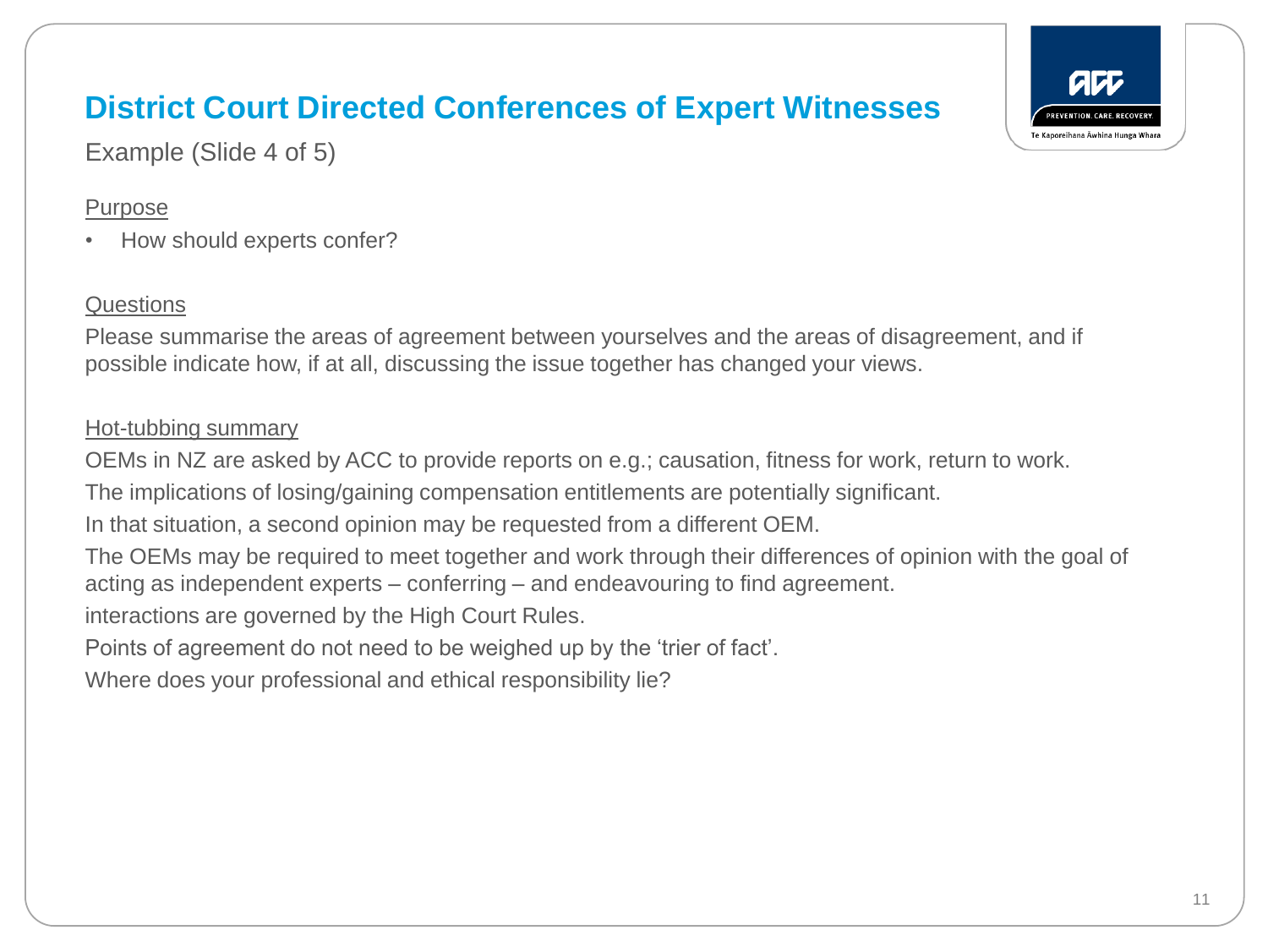Example (Slide 4 of 5)

### Purpose

• How should experts confer?

### **Questions**

Please summarise the areas of agreement between yourselves and the areas of disagreement, and if possible indicate how, if at all, discussing the issue together has changed your views.

### Hot-tubbing summary

OEMs in NZ are asked by ACC to provide reports on e.g.; causation, fitness for work, return to work.

The implications of losing/gaining compensation entitlements are potentially significant.

In that situation, a second opinion may be requested from a different OEM.

The OEMs may be required to meet together and work through their differences of opinion with the goal of acting as independent experts – conferring – and endeavouring to find agreement.

interactions are governed by the High Court Rules.

Points of agreement do not need to be weighed up by the 'trier of fact'.

Where does your professional and ethical responsibility lie?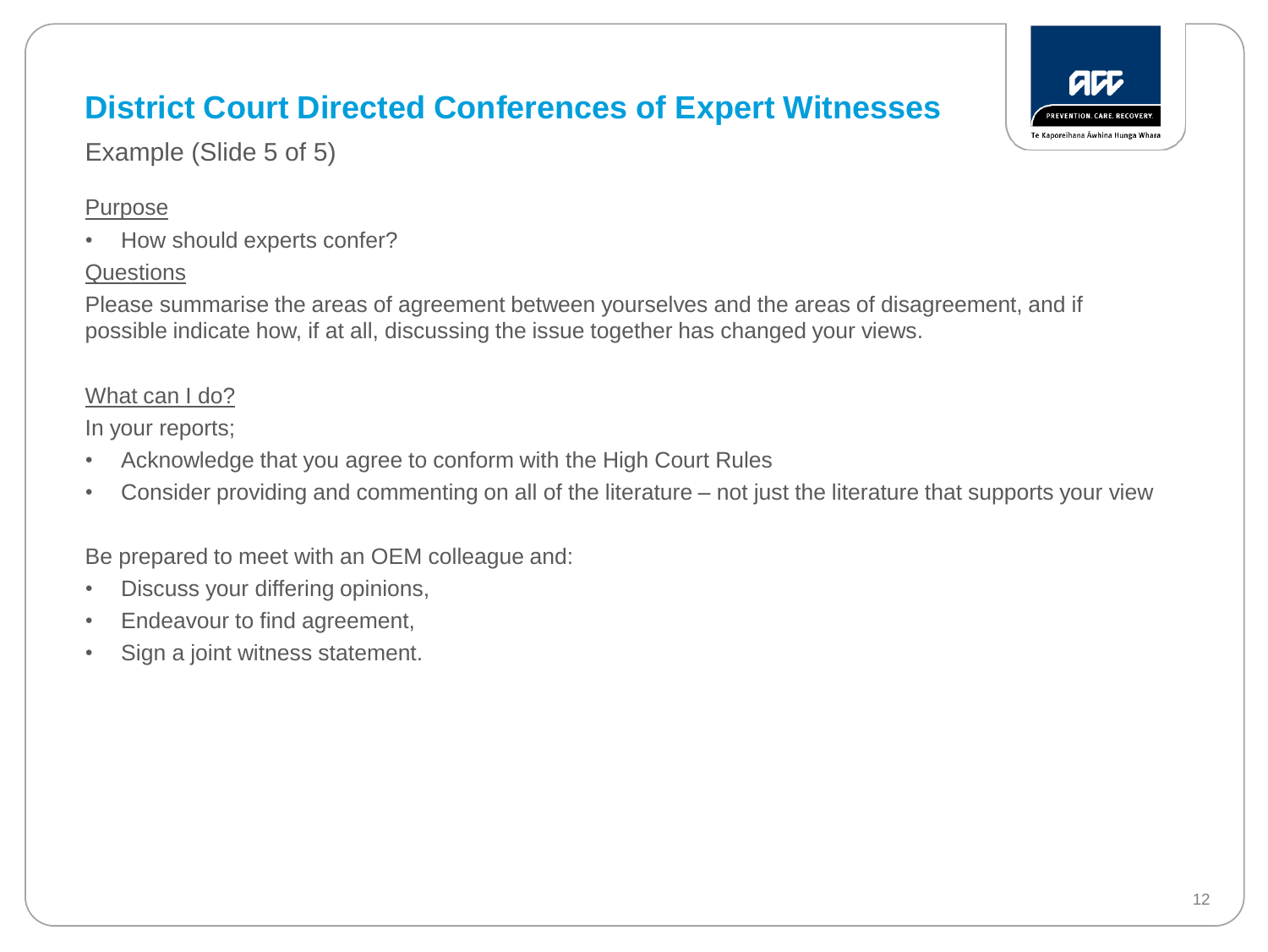

Example (Slide 5 of 5)

### Purpose

• How should experts confer?

### **Questions**

Please summarise the areas of agreement between yourselves and the areas of disagreement, and if possible indicate how, if at all, discussing the issue together has changed your views.

### What can I do?

In your reports;

- Acknowledge that you agree to conform with the High Court Rules
- Consider providing and commenting on all of the literature not just the literature that supports your view

Be prepared to meet with an OEM colleague and:

- Discuss your differing opinions,
- Endeavour to find agreement,
- Sign a joint witness statement.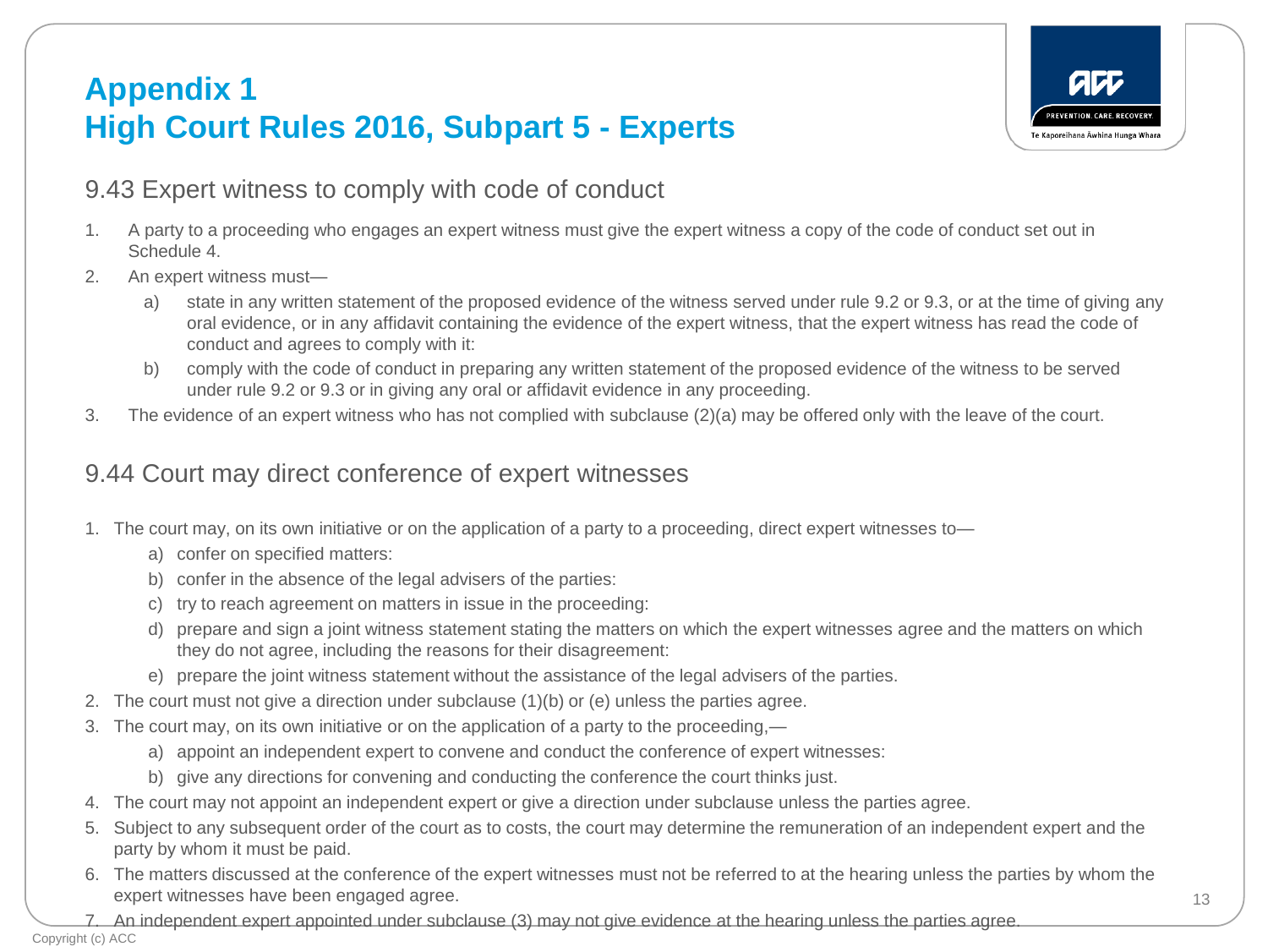## **Appendix 1 High Court Rules 2016, Subpart 5 - Experts**



### 9.43 Expert witness to comply with code of conduct

- 1. A party to a proceeding who engages an expert witness must give the expert witness a copy of the code of conduct set out in Schedule 4.
- 2. An expert witness must
	- a) state in any written statement of the proposed evidence of the witness served under rule 9.2 or 9.3, or at the time of giving any oral evidence, or in any affidavit containing the evidence of the expert witness, that the expert witness has read the code of conduct and agrees to comply with it:
	- b) comply with the code of conduct in preparing any written statement of the proposed evidence of the witness to be served under rule 9.2 or 9.3 or in giving any oral or affidavit evidence in any proceeding.
- 3. The evidence of an expert witness who has not complied with subclause (2)(a) may be offered only with the leave of the court.

### 9.44 Court may direct conference of expert witnesses

- 1. The court may, on its own initiative or on the application of a party to a proceeding, direct expert witnesses to
	- a) confer on specified matters:
	- b) confer in the absence of the legal advisers of the parties:
	- c) try to reach agreement on matters in issue in the proceeding:
	- d) prepare and sign a joint witness statement stating the matters on which the expert witnesses agree and the matters on which they do not agree, including the reasons for their disagreement:
	- e) prepare the joint witness statement without the assistance of the legal advisers of the parties.
- 2. The court must not give a direction under subclause (1)(b) or (e) unless the parties agree.
- 3. The court may, on its own initiative or on the application of a party to the proceeding,
	- a) appoint an independent expert to convene and conduct the conference of expert witnesses:
	- b) give any directions for convening and conducting the conference the court thinks just.
- 4. The court may not appoint an independent expert or give a direction under subclause unless the parties agree.
- 5. Subject to any subsequent order of the court as to costs, the court may determine the remuneration of an independent expert and the party by whom it must be paid.
- 6. The matters discussed at the conference of the expert witnesses must not be referred to at the hearing unless the parties by whom the expert witnesses have been engaged agree.
- 7. An independent expert appointed under subclause (3) may not give evidence at the hearing unless the parties agree.

Copyright (c) ACC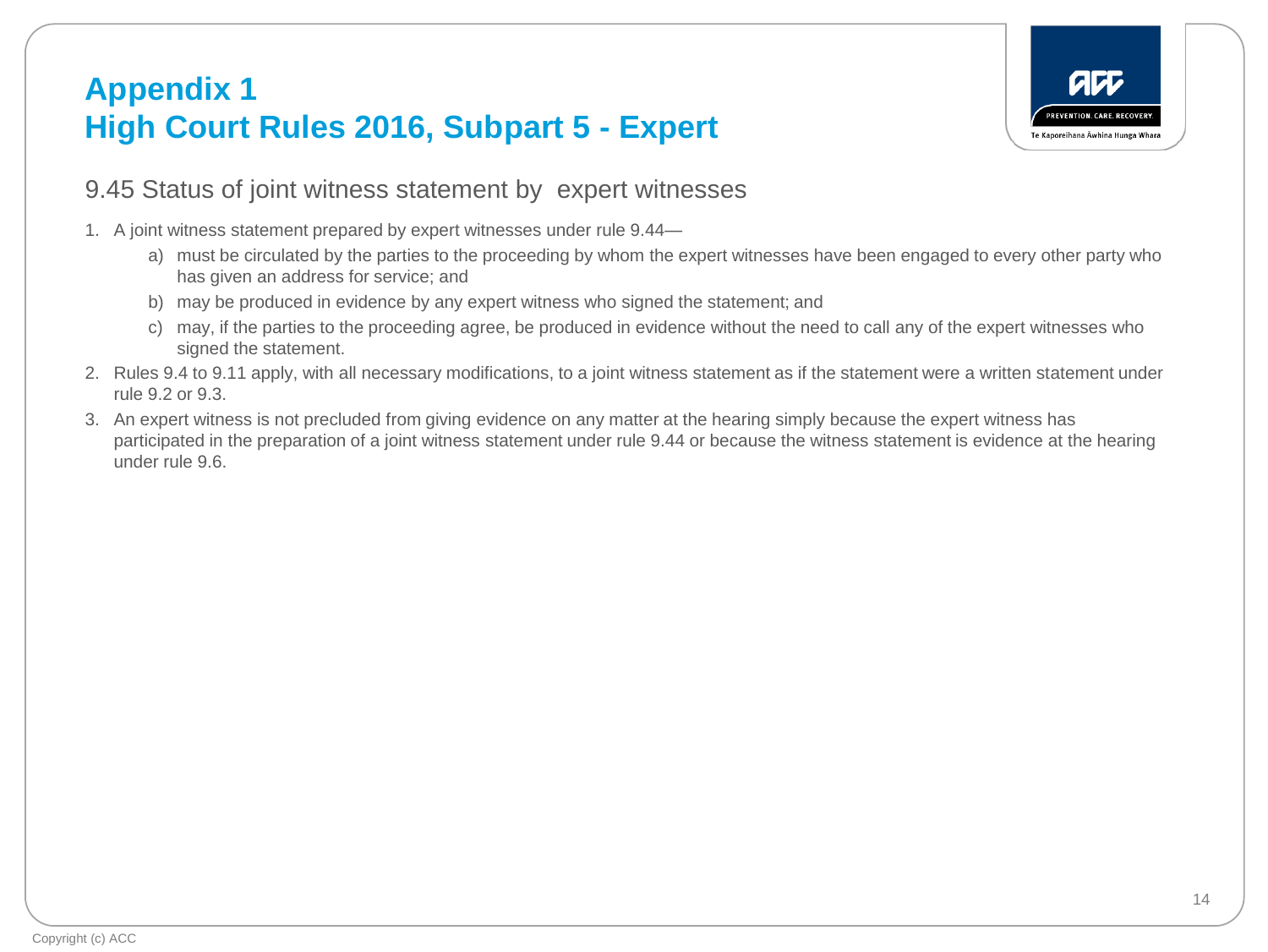### **Appendix 1 High Court Rules 2016, Subpart 5 - Expert**



### 9.45 Status of joint witness statement by expert witnesses

- 1. A joint witness statement prepared by expert witnesses under rule 9.44
	- a) must be circulated by the parties to the proceeding by whom the expert witnesses have been engaged to every other party who has given an address for service; and
	- b) may be produced in evidence by any expert witness who signed the statement; and
	- c) may, if the parties to the proceeding agree, be produced in evidence without the need to call any of the expert witnesses who signed the statement.
- 2. Rules 9.4 to 9.11 apply, with all necessary modifications, to a joint witness statement as if the statement were a written statement under rule 9.2 or 9.3.
- 3. An expert witness is not precluded from giving evidence on any matter at the hearing simply because the expert witness has participated in the preparation of a joint witness statement under rule 9.44 or because the witness statement is evidence at the hearing under rule 9.6.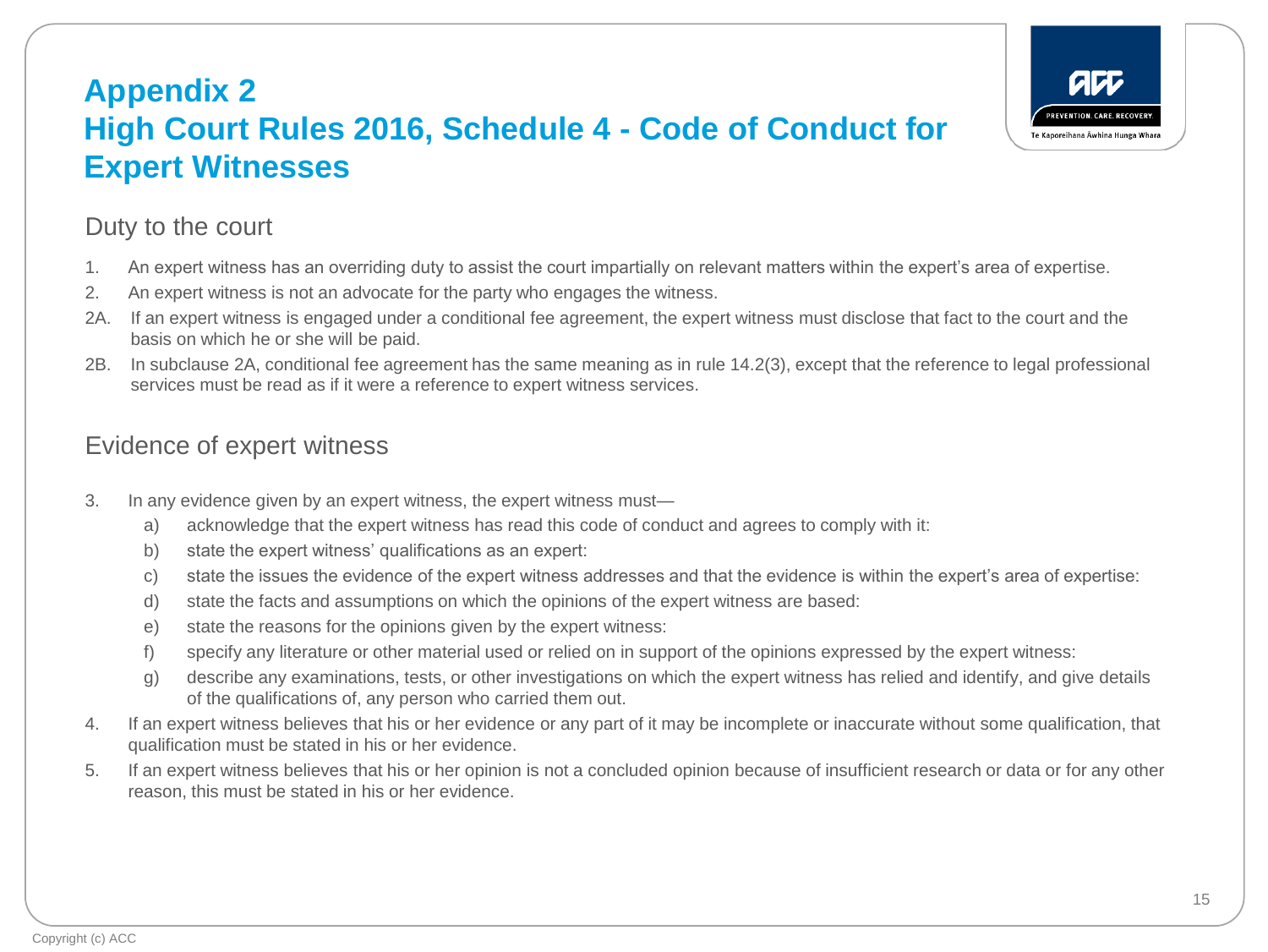### **Appendix 2 High Court Rules 2016, Schedule 4 - Code of Conduct for Expert Witnesses**



### Duty to the court

- 1. An expert witness has an overriding duty to assist the court impartially on relevant matters within the expert's area of expertise.
- 2. An expert witness is not an advocate for the party who engages the witness.
- 2A. If an expert witness is engaged under a conditional fee agreement, the expert witness must disclose that fact to the court and the basis on which he or she will be paid.
- 2B. In subclause 2A, conditional fee agreement has the same meaning as in rule 14.2(3), except that the reference to legal professional services must be read as if it were a reference to expert witness services.

### Evidence of expert witness

- 3. In any evidence given by an expert witness, the expert witness must
	- a) acknowledge that the expert witness has read this code of conduct and agrees to comply with it:
	- b) state the expert witness' qualifications as an expert:
	- c) state the issues the evidence of the expert witness addresses and that the evidence is within the expert's area of expertise:
	- d) state the facts and assumptions on which the opinions of the expert witness are based:
	- e) state the reasons for the opinions given by the expert witness:
	- f) specify any literature or other material used or relied on in support of the opinions expressed by the expert witness:
	- g) describe any examinations, tests, or other investigations on which the expert witness has relied and identify, and give details of the qualifications of, any person who carried them out.
- 4. If an expert witness believes that his or her evidence or any part of it may be incomplete or inaccurate without some qualification, that qualification must be stated in his or her evidence.
- 5. If an expert witness believes that his or her opinion is not a concluded opinion because of insufficient research or data or for any other reason, this must be stated in his or her evidence.